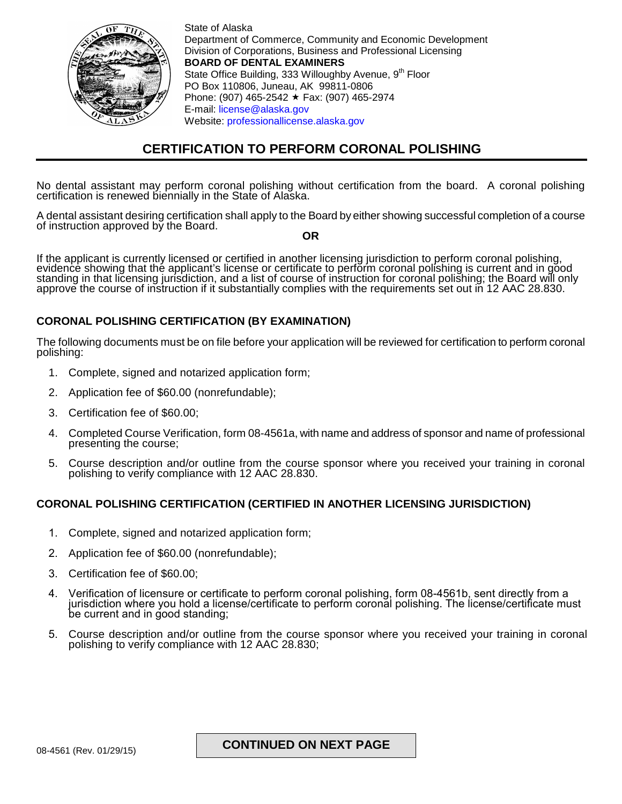

State of Alaska Department of Commerce, Community and Economic Development Division of Corporations, Business and Professional Licensing **BOARD OF DENTAL EXAMINERS** State Office Building, 333 Willoughby Avenue, 9<sup>th</sup> Floor PO Box 110806, Juneau, AK 99811-0806 Phone: (907) 465-2542 ★ Fax: (907) 465-2974 E-mail: [license@alaska.gov](mailto:license@alaska.gov) Website: [professionallicense.alaska.gov](http://professionallicense.alaska.gov/)

# **CERTIFICATION TO PERFORM CORONAL POLISHING**

No dental assistant may perform coronal polishing without certification from the board. A coronal polishing certification is renewed biennially in the State of Alaska.

A dental assistant desiring certification shall apply to the Board by either showing successful completion of a course of instruction approved by the Board. **OR**

If the applicant is currently licensed or certified in another licensing jurisdiction to perform coronal polishing, evidence showing that the applicant's license or certificate to perform coronal polishing is current and in good standing in that licensing jurisdiction, and a list of course of instruction for coronal polishing; the Board will only approve the course of instruction if it substantially complies with the requirements set out in 12 AAC 28.830.

## **CORONAL POLISHING CERTIFICATION (BY EXAMINATION)**

The following documents must be on file before your application will be reviewed for certification to perform coronal polishing:

- 1. Complete, signed and notarized application form;
- 2. Application fee of \$60.00 (nonrefundable);
- 3. Certification fee of \$60.00;
- 4. Completed Course Verification, form 08-4561a, with name and address of sponsor and name of professional presenting the course;
- 5. Course description and/or outline from the course sponsor where you received your training in coronal polishing to verify compliance with 12 AAC 28.830.

## **CORONAL POLISHING CERTIFICATION (CERTIFIED IN ANOTHER LICENSING JURISDICTION)**

- 1. Complete, signed and notarized application form;
- 2. Application fee of \$60.00 (nonrefundable);
- 3. Certification fee of \$60.00;
- 4. Verification of licensure or certificate to perform coronal polishing, form 08-4561b, sent directly from a jurisdiction where you hold a license/certificate to perform coronal polishing. The license/certificate must be current and in good standing;
- 5. Course description and/or outline from the course sponsor where you received your training in coronal polishing to verify compliance with 12 AAC 28.830;

# 08-4561 (Rev. 01/29/15) **CONTINUED ON NEXT PAGE**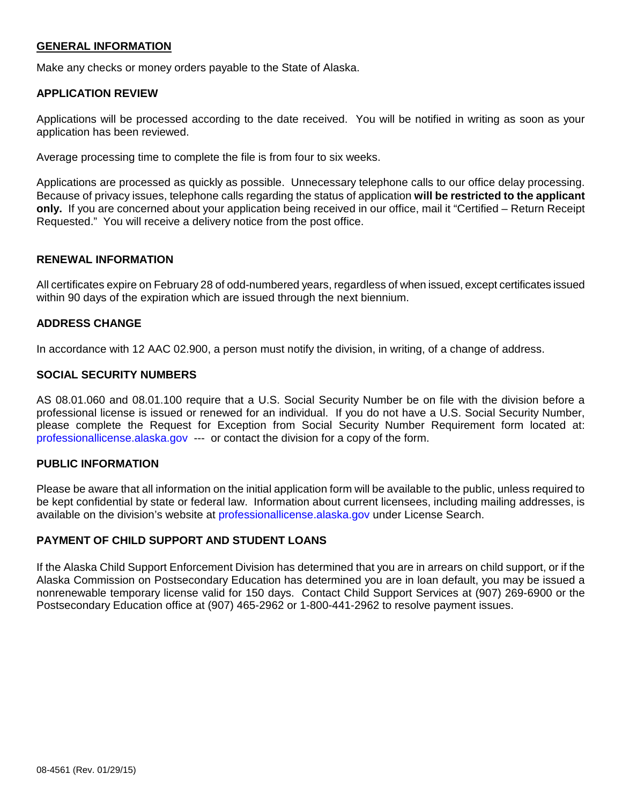## **GENERAL INFORMATION**

Make any checks or money orders payable to the State of Alaska.

### **APPLICATION REVIEW**

Applications will be processed according to the date received. You will be notified in writing as soon as your application has been reviewed.

Average processing time to complete the file is from four to six weeks.

Applications are processed as quickly as possible. Unnecessary telephone calls to our office delay processing. Because of privacy issues, telephone calls regarding the status of application **will be restricted to the applicant only.** If you are concerned about your application being received in our office, mail it "Certified – Return Receipt Requested." You will receive a delivery notice from the post office.

### **RENEWAL INFORMATION**

All certificates expire on February 28 of odd-numbered years, regardless of when issued, except certificates issued within 90 days of the expiration which are issued through the next biennium.

### **ADDRESS CHANGE**

In accordance with 12 AAC 02.900, a person must notify the division, in writing, of a change of address.

## **SOCIAL SECURITY NUMBERS**

AS 08.01.060 and 08.01.100 require that a U.S. Social Security Number be on file with the division before a professional license is issued or renewed for an individual. If you do not have a U.S. Social Security Number, please complete the Request for Exception from Social Security Number Requirement form located at: [professionallicense.alaska.gov](http://professionallicense.alaska.gov/) --- or contact the division for a copy of the form.

#### **PUBLIC INFORMATION**

Please be aware that all information on the initial application form will be available to the public, unless required to be kept confidential by state or federal law. Information about current licensees, including mailing addresses, is available on the division's website at [professionallicense.alaska.gov](http://professionallicense.alaska.gov/) under License Search.

### **PAYMENT OF CHILD SUPPORT AND STUDENT LOANS**

If the Alaska Child Support Enforcement Division has determined that you are in arrears on child support, or if the Alaska Commission on Postsecondary Education has determined you are in loan default, you may be issued a nonrenewable temporary license valid for 150 days. Contact Child Support Services at (907) 269-6900 or the Postsecondary Education office at (907) 465-2962 or 1-800-441-2962 to resolve payment issues.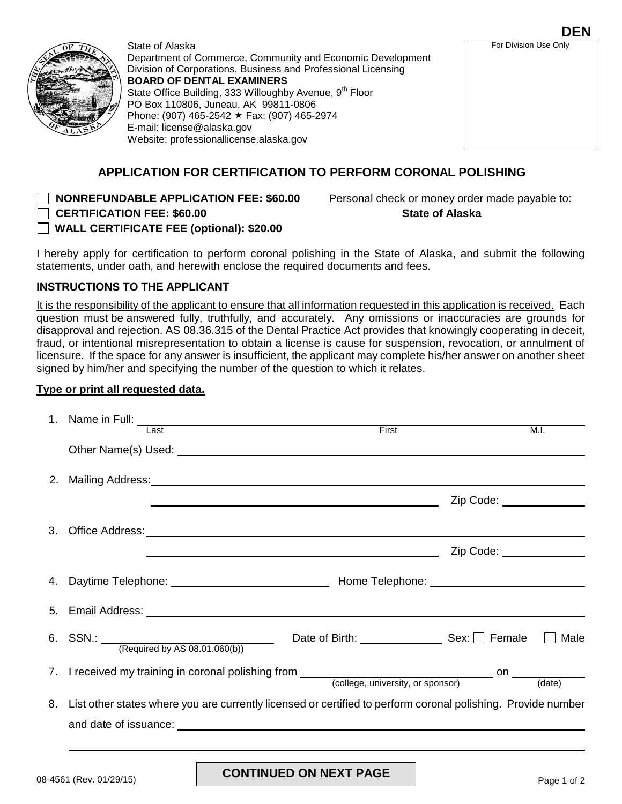

State of Alaska Department of Commerce, Community and Economic Development Division of Corporations, Business and Professional Licensing **BOARD OF DENTAL EXAMINERS** State Office Building, 333 Willoughby Avenue, 9<sup>th</sup> Floor PO Box 110806, Juneau, AK 99811-0806 Phone: (907) 465-2542 ★ Fax: (907) 465-2974 E-mail: license@alaska.gov Website: [professionallicense.alaska.gov](http://professionallicense.alaska.gov/) 

# **APPLICATION FOR CERTIFICATION TO PERFORM CORONAL POLISHING**

**NONREFUNDABLE APPLICATION FEE: \$60.00** Personal check or money order made payable to:

 **CERTIFICATION FEE: \$60.00 State of Alaska**

**WALL CERTIFICATE FEE (optional): \$20.00** 

I hereby apply for certification to perform coronal polishing in the State of Alaska, and submit the following statements, under oath, and herewith enclose the required documents and fees.

## **INSTRUCTIONS TO THE APPLICANT**

It is the responsibility of the applicant to ensure that all information requested in this application is received. Each question must be answered fully, truthfully, and accurately. Any omissions or inaccuracies are grounds for disapproval and rejection. AS 08.36.315 of the Dental Practice Act provides that knowingly cooperating in deceit, fraud, or intentional misrepresentation to obtain a license is cause for suspension, revocation, or annulment of licensure. If the space for any answer is insufficient, the applicant may complete his/her answer on another sheet signed by him/her and specifying the number of the question to which it relates.

## **Type or print all requested data.**

| Last                                                                                                                                                                                                                                 | First                                 |                         | M.I. |
|--------------------------------------------------------------------------------------------------------------------------------------------------------------------------------------------------------------------------------------|---------------------------------------|-------------------------|------|
|                                                                                                                                                                                                                                      |                                       |                         |      |
| 2. Mailing Address: Manual Manual Manual Manual Manual Manual Manual Manual Manual Manual Manual Manual Manual                                                                                                                       |                                       |                         |      |
| <u> 1989 - Johann Stoff, deutscher Stoff, der Stoff, der Stoff, der Stoff, der Stoff, der Stoff, der Stoff, der S</u>                                                                                                                |                                       | Zip Code: _____________ |      |
|                                                                                                                                                                                                                                      |                                       |                         |      |
|                                                                                                                                                                                                                                      |                                       | Zip Code: _____________ |      |
|                                                                                                                                                                                                                                      |                                       |                         |      |
| 5. Email Address: University of the Contract of the Contract of the Contract of the Contract of the Contract of the Contract of the Contract of the Contract of the Contract of the Contract of the Contract of the Contract o       |                                       |                         |      |
| 6. SSN.: $\frac{\text{[Required by AS 08.01.060(b)]}}{\text{[Required by AS 08.01.060(b)]}}$                                                                                                                                         | Date of Birth: Sex: Sex: Sex: Network |                         | Male |
|                                                                                                                                                                                                                                      |                                       |                         |      |
|                                                                                                                                                                                                                                      |                                       |                         |      |
| 8. List other states where you are currently licensed or certified to perform coronal polishing. Provide number                                                                                                                      |                                       |                         |      |
| and date of issuance: <u>example and contract and contract and contract and contract and contract and contract and contract and contract and contract and contract and contract and contract and contract and contract and contr</u> |                                       |                         |      |
|                                                                                                                                                                                                                                      |                                       |                         |      |

**DEN**

For Division Use Only

08-4561 (Rev. 01/29/15) **CONTINUED ON NEXT PAGE** Page 1 of 2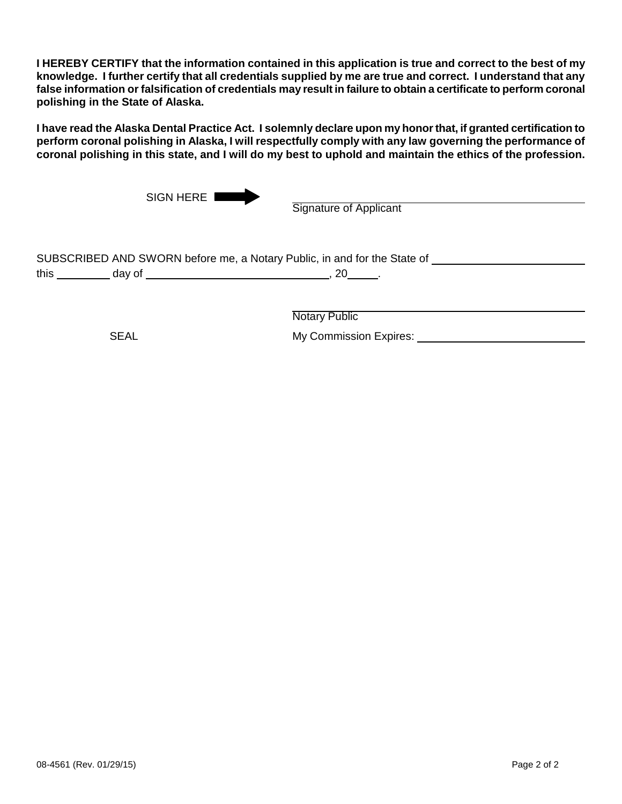**I HEREBY CERTIFY that the information contained in this application is true and correct to the best of my knowledge. I further certify that all credentials supplied by me are true and correct. I understand that any false information or falsification of credentials may result in failure to obtain a certificate to perform coronal polishing in the State of Alaska.**

**I have read the Alaska Dental Practice Act. I solemnly declare upon my honor that, if granted certification to perform coronal polishing in Alaska, I will respectfully comply with any law governing the performance of coronal polishing in this state, and I will do my best to uphold and maintain the ethics of the profession.**

|      | SIGN HERE I | <b>Signature of Applicant</b>                                                                                                      |  |
|------|-------------|------------------------------------------------------------------------------------------------------------------------------------|--|
| this | day of      | SUBSCRIBED AND SWORN before me, a Notary Public, in and for the State of<br>20 l<br><u> 1990 - Johann Barbara, martin amerikan</u> |  |
|      |             | <b>Notary Public</b>                                                                                                               |  |

SEAL My Commission Expires: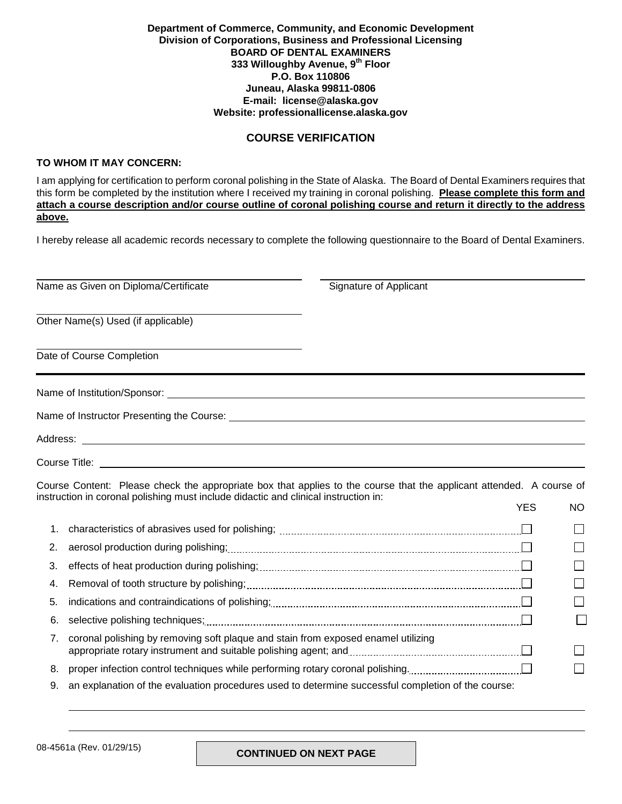#### **Department of Commerce, Community, and Economic Development Division of Corporations, Business and Professional Licensing BOARD OF DENTAL EXAMINERS 333 Willoughby Avenue, 9th Floor P.O. Box 110806 Juneau, Alaska 99811-0806 E-mail: license@alaska.gov Website: [professionallicense.alaska.gov](http://professionallicense.alaska.gov/)**

### **COURSE VERIFICATION**

### **TO WHOM IT MAY CONCERN:**

I am applying for certification to perform coronal polishing in the State of Alaska. The Board of Dental Examiners requires that this form be completed by the institution where I received my training in coronal polishing. **Please complete this form and attach a course description and/or course outline of coronal polishing course and return it directly to the address above.**

I hereby release all academic records necessary to complete the following questionnaire to the Board of Dental Examiners.

| Name as Given on Diploma/Certificate      | Signature of Applicant |  |
|-------------------------------------------|------------------------|--|
| Other Name(s) Used (if applicable)        |                        |  |
| Date of Course Completion                 |                        |  |
|                                           |                        |  |
| Name of Instructor Presenting the Course: |                        |  |
|                                           |                        |  |
|                                           |                        |  |

Course Title:

Course Content: Please check the appropriate box that applies to the course that the applicant attended. A course of instruction in coronal polishing must include didactic and clinical instruction in: YES NO

|    | 2. aerosol production during polishing; [11] and the content of the content of the content of the content of the content of the content of the content of the content of the content of the content of the content of the cont | П  |
|----|--------------------------------------------------------------------------------------------------------------------------------------------------------------------------------------------------------------------------------|----|
|    |                                                                                                                                                                                                                                | П  |
|    |                                                                                                                                                                                                                                | П  |
|    |                                                                                                                                                                                                                                | П  |
|    |                                                                                                                                                                                                                                | I. |
| 7. | coronal polishing by removing soft plaque and stain from exposed enamel utilizing<br>appropriate rotary instrument and suitable polishing agent; and <b>construct and propriate rotary instruments</b>                         |    |
| 8. |                                                                                                                                                                                                                                | ΙI |
| 9. | an explanation of the evaluation procedures used to determine successful completion of the course:                                                                                                                             |    |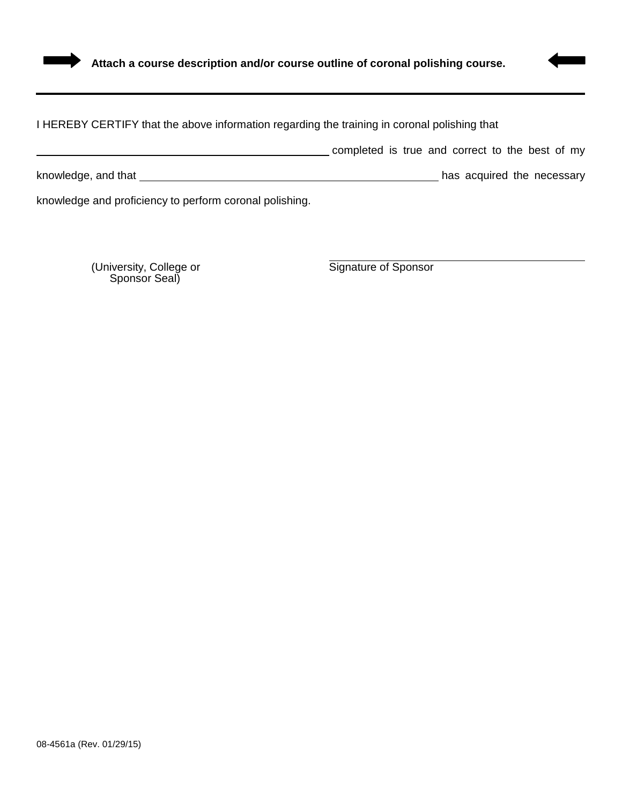

## I HEREBY CERTIFY that the above information regarding the training in coronal polishing that

completed is true and correct to the best of my

knowledge, and that has acquired the necessary

knowledge and proficiency to perform coronal polishing.

(University, College or Signature of Sponsor Sponsor Seal)